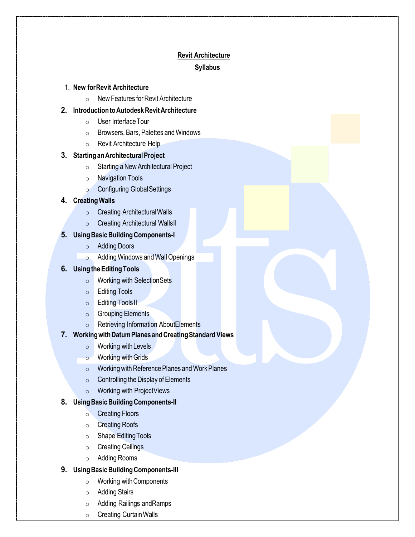# **Revit Architecture Syllabus**

### 1. **New for Revit Architecture**

o New Features for Revit Architecture

### **2. Introduction to Autodesk Revit Architecture**

- o User Interface Tour
- o Browsers, Bars, Palettes and Windows
- o Revit Architecture Help

#### **3. Starting an Architectural Project**

- o Starting a New Architectural Project
- o Navigation Tools
- o Configuring Global Settings

#### **4. Creating Walls**

- o Creating Architectural Walls
- $\circ$  Creating Architectural Walls II

### **5. Using Basic Building Components-I**

- o Adding Doors
- o Adding Windows and Wall Openings

### **6. Using the Editing Tools**

- o Working with Selection Sets
- o Editing Tools
- o Editing Tools II
- o Grouping Elements
- o Retrieving Information About Elements

#### **7. Working with Datum Planes and Creating Standard Views**

- o Working with Levels
- o Working with Grids
- o Working with Reference Planes and Work Planes
- $\circ$  Controlling the Display of Elements
- o Working with Project Views

#### **8. Using Basic Building Components-II**

- o Creating Floors
- o Creating Roofs
- o Shape Editing Tools
- o Creating Ceilings
- o Adding Rooms

### **9. Using Basic Building Components-III**

- o Working with Components
- o Adding Stairs
- $\circ$  Adding Railings and Ramps
- o Creating Curtain Walls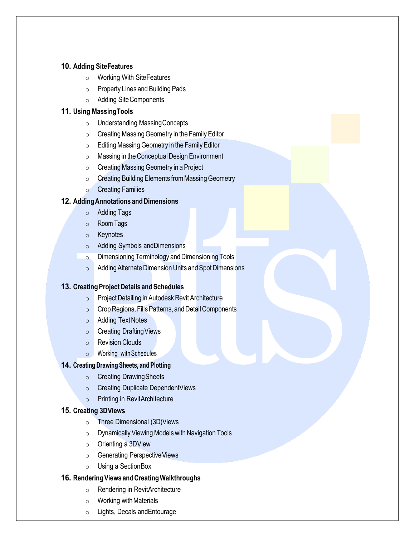### **10. Adding Site Features**

- o Working With Site Features
- o Property Lines and Building Pads
- o Adding Site Components

# **11. Using Massing Tools**

- o Understanding Massing Concepts
- o Creating Massing Geometry in the Family Editor
- o Editing Massing Geometry in the Family Editor
- o Massing in the Conceptual Design Environment
- o Creating Massing Geometry in a Project
- o Creating Building Elements from Massing Geometry
- o Creating Families

# **12. Adding Annotations and Dimensions**

- o Adding Tags
- o Room Tags
- o Keynotes
- o Adding Symbols and Dimensions
- o Dimensioning Terminology and Dimensioning Tools
- o Adding Alternate Dimension Units and Spot Dimensions

# **13. Creating Project Details and Schedules**

- o Project Detailing in Autodesk Revit Architecture
- o Crop Regions, Fills Patterns, and Detail Components
- o Adding Text Notes
- o Creating Drafting Views
- o Revision Clouds
- o Working with Schedules

### **14. Creating Drawing Sheets, and Plotting**

- o Creating Drawing Sheets
- o Creating Duplicate Dependent Views
- o Printing in Revit Architecture

# **15. Creating 3D Views**

- o Three Dimensional (3D) Views
- o Dynamically Viewing Models with Navigation Tools
- o Orienting a 3D View
- o Generating Perspective Views
- o Using a Section Box

### **16. Rendering Views and Creating Walkthroughs**

- o Rendering in RevitArchitecture
- $\circ$  Working with Materials
- $\circ$  Lights, Decals and Entourage